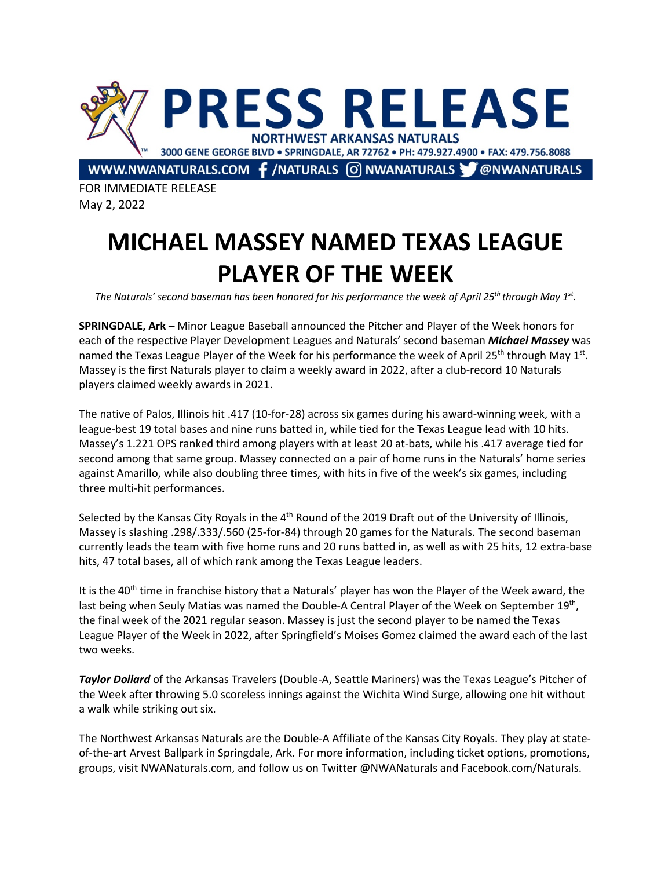

FOR IMMEDIATE RELEASE May 2, 2022

## **MICHAEL MASSEY NAMED TEXAS LEAGUE PLAYER OF THE WEEK**

*The Naturals' second baseman has been honored for his performance the week of April 25th through May 1st.*

**SPRINGDALE, Ark –** Minor League Baseball announced the Pitcher and Player of the Week honors for each of the respective Player Development Leagues and Naturals' second baseman *Michael Massey* was named the Texas League Player of the Week for his performance the week of April 25<sup>th</sup> through May 1<sup>st</sup>. Massey is the first Naturals player to claim a weekly award in 2022, after a club-record 10 Naturals players claimed weekly awards in 2021.

The native of Palos, Illinois hit .417 (10-for-28) across six games during his award-winning week, with a league-best 19 total bases and nine runs batted in, while tied for the Texas League lead with 10 hits. Massey's 1.221 OPS ranked third among players with at least 20 at-bats, while his .417 average tied for second among that same group. Massey connected on a pair of home runs in the Naturals' home series against Amarillo, while also doubling three times, with hits in five of the week's six games, including three multi-hit performances.

Selected by the Kansas City Royals in the 4<sup>th</sup> Round of the 2019 Draft out of the University of Illinois, Massey is slashing .298/.333/.560 (25-for-84) through 20 games for the Naturals. The second baseman currently leads the team with five home runs and 20 runs batted in, as well as with 25 hits, 12 extra-base hits, 47 total bases, all of which rank among the Texas League leaders.

It is the 40<sup>th</sup> time in franchise history that a Naturals' player has won the Player of the Week award, the last being when Seuly Matias was named the Double-A Central Player of the Week on September 19th, the final week of the 2021 regular season. Massey is just the second player to be named the Texas League Player of the Week in 2022, after Springfield's Moises Gomez claimed the award each of the last two weeks.

*Taylor Dollard* of the Arkansas Travelers (Double-A, Seattle Mariners) was the Texas League's Pitcher of the Week after throwing 5.0 scoreless innings against the Wichita Wind Surge, allowing one hit without a walk while striking out six.

The Northwest Arkansas Naturals are the Double-A Affiliate of the Kansas City Royals. They play at stateof-the-art Arvest Ballpark in Springdale, Ark. For more information, including ticket options, promotions, groups, visit NWANaturals.com, and follow us on Twitter @NWANaturals and Facebook.com/Naturals.